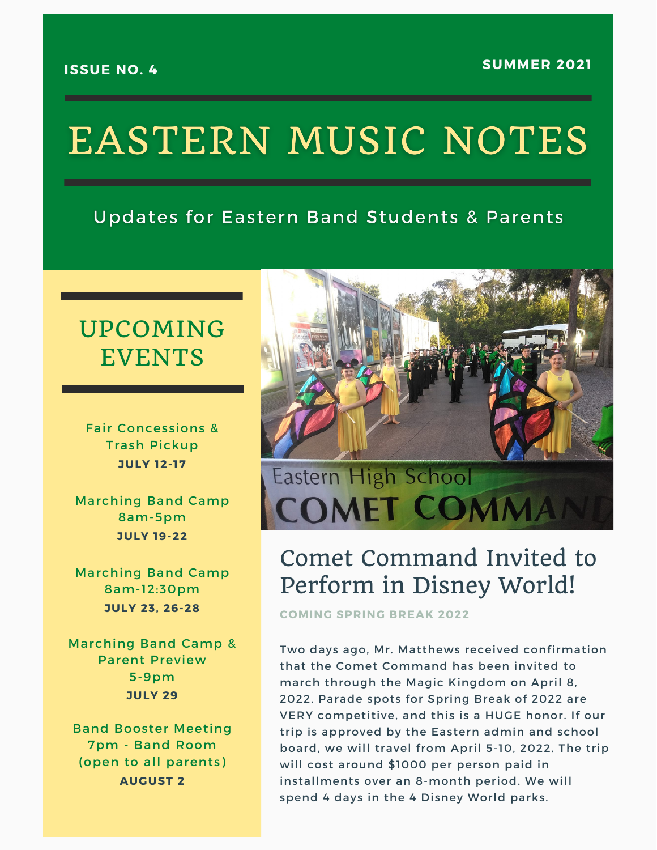#### **ISSUE NO. 4**

# **EASTERN MUSIC NOTES**

#### **Updates for Eastern Band Students & Parents**

### UPCOMING EVENTS

Fair Concessions & Trash Pickup **JULY 12-17**

Marching Band Camp 8am-5pm **JULY 19-22**

Marching Band Camp 8am-12:30pm **JULY 23, 26-28**

Marching Band Camp & Parent Preview 5-9pm **JULY 29**

Band Booster Meeting 7pm - Band Room (open to all parents) **AUGUST 2**



## Comet Command Invited to Perform in Disney World!

**COMING SPRING BREAK 2022**

Two days ago, Mr. Matthews received confirmation that the Comet Command has been invited to march through the Magic Kingdom on April 8, 2022. Parade spots for Spring Break of 2022 are VERY competitive, and this is a HUGE honor. If our trip is approved by the Eastern admin and school board, we will travel from April 5-10, 2022. The trip will cost around \$1000 per person paid in installments over an 8-month period. We will spend 4 days in the 4 Disney World parks.